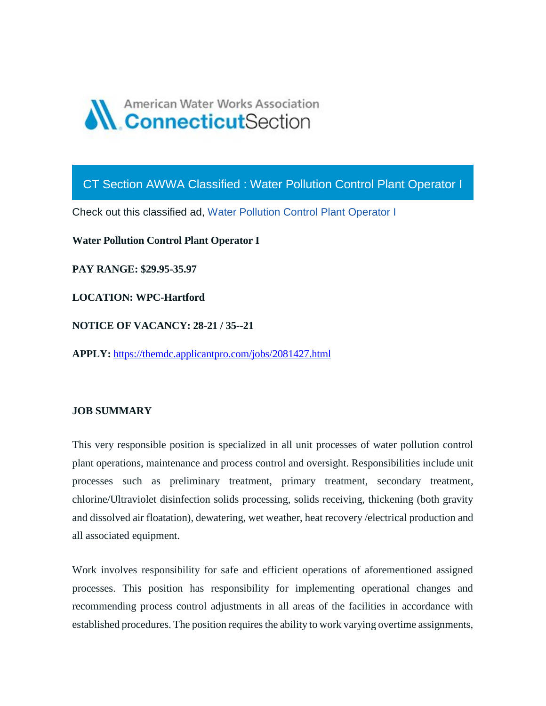

CT Section AWWA Classified : Water Pollution Control Plant Operator I

Check out this classified ad, [Water Pollution Control Plant Operator I](https://ctawwa.org/ad-click.php?record_number=379&url=classifieds.php?record_number=379&source=email)

**Water Pollution Control Plant Operator I**

**PAY RANGE: \$29.95-35.97**

**LOCATION: WPC-Hartford**

**NOTICE OF VACANCY: 28-21 / 35--21**

**APPLY:** <https://themdc.applicantpro.com/jobs/2081427.html>

#### **JOB SUMMARY**

This very responsible position is specialized in all unit processes of water pollution control plant operations, maintenance and process control and oversight. Responsibilities include unit processes such as preliminary treatment, primary treatment, secondary treatment, chlorine/Ultraviolet disinfection solids processing, solids receiving, thickening (both gravity and dissolved air floatation), dewatering, wet weather, heat recovery /electrical production and all associated equipment.

Work involves responsibility for safe and efficient operations of aforementioned assigned processes. This position has responsibility for implementing operational changes and recommending process control adjustments in all areas of the facilities in accordance with established procedures. The position requires the ability to work varying overtime assignments,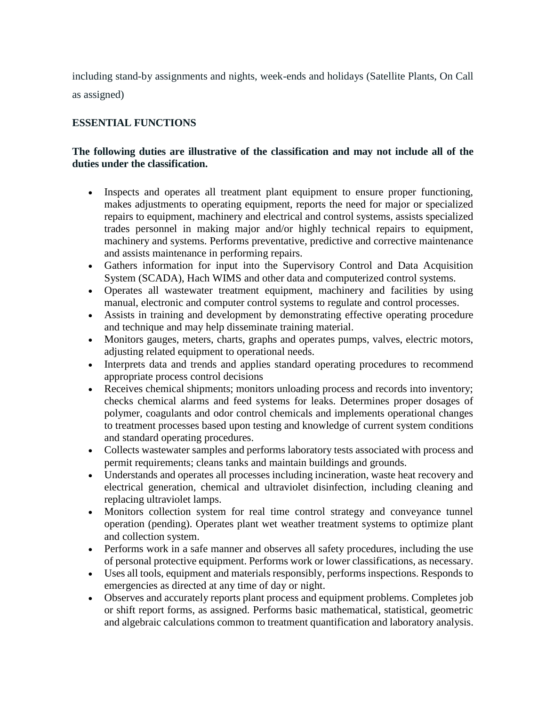including stand-by assignments and nights, week-ends and holidays (Satellite Plants, On Call

as assigned)

## **ESSENTIAL FUNCTIONS**

### **The following duties are illustrative of the classification and may not include all of the duties under the classification.**

- Inspects and operates all treatment plant equipment to ensure proper functioning, makes adjustments to operating equipment, reports the need for major or specialized repairs to equipment, machinery and electrical and control systems, assists specialized trades personnel in making major and/or highly technical repairs to equipment, machinery and systems. Performs preventative, predictive and corrective maintenance and assists maintenance in performing repairs.
- Gathers information for input into the Supervisory Control and Data Acquisition System (SCADA), Hach WIMS and other data and computerized control systems.
- Operates all wastewater treatment equipment, machinery and facilities by using manual, electronic and computer control systems to regulate and control processes.
- Assists in training and development by demonstrating effective operating procedure and technique and may help disseminate training material.
- Monitors gauges, meters, charts, graphs and operates pumps, valves, electric motors, adjusting related equipment to operational needs.
- Interprets data and trends and applies standard operating procedures to recommend appropriate process control decisions
- Receives chemical shipments; monitors unloading process and records into inventory; checks chemical alarms and feed systems for leaks. Determines proper dosages of polymer, coagulants and odor control chemicals and implements operational changes to treatment processes based upon testing and knowledge of current system conditions and standard operating procedures.
- Collects wastewater samples and performs laboratory tests associated with process and permit requirements; cleans tanks and maintain buildings and grounds.
- Understands and operates all processes including incineration, waste heat recovery and electrical generation, chemical and ultraviolet disinfection, including cleaning and replacing ultraviolet lamps.
- Monitors collection system for real time control strategy and conveyance tunnel operation (pending). Operates plant wet weather treatment systems to optimize plant and collection system.
- Performs work in a safe manner and observes all safety procedures, including the use of personal protective equipment. Performs work or lower classifications, as necessary.
- Uses all tools, equipment and materials responsibly, performs inspections. Responds to emergencies as directed at any time of day or night.
- Observes and accurately reports plant process and equipment problems. Completes job or shift report forms, as assigned. Performs basic mathematical, statistical, geometric and algebraic calculations common to treatment quantification and laboratory analysis.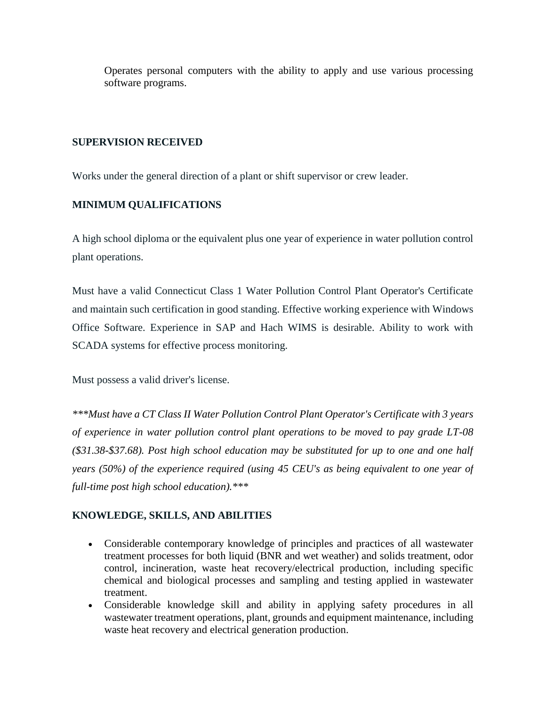Operates personal computers with the ability to apply and use various processing software programs.

#### **SUPERVISION RECEIVED**

Works under the general direction of a plant or shift supervisor or crew leader.

# **MINIMUM QUALIFICATIONS**

A high school diploma or the equivalent plus one year of experience in water pollution control plant operations.

Must have a valid Connecticut Class 1 Water Pollution Control Plant Operator's Certificate and maintain such certification in good standing. Effective working experience with Windows Office Software. Experience in SAP and Hach WIMS is desirable. Ability to work with SCADA systems for effective process monitoring.

Must possess a valid driver's license.

*\*\*\*Must have a CT Class II Water Pollution Control Plant Operator's Certificate with 3 years of experience in water pollution control plant operations to be moved to pay grade LT-08 (\$31.38-\$37.68). Post high school education may be substituted for up to one and one half years (50%) of the experience required (using 45 CEU's as being equivalent to one year of full-time post high school education).\*\*\**

## **KNOWLEDGE, SKILLS, AND ABILITIES**

- Considerable contemporary knowledge of principles and practices of all wastewater treatment processes for both liquid (BNR and wet weather) and solids treatment, odor control, incineration, waste heat recovery/electrical production, including specific chemical and biological processes and sampling and testing applied in wastewater treatment.
- Considerable knowledge skill and ability in applying safety procedures in all wastewater treatment operations, plant, grounds and equipment maintenance, including waste heat recovery and electrical generation production.